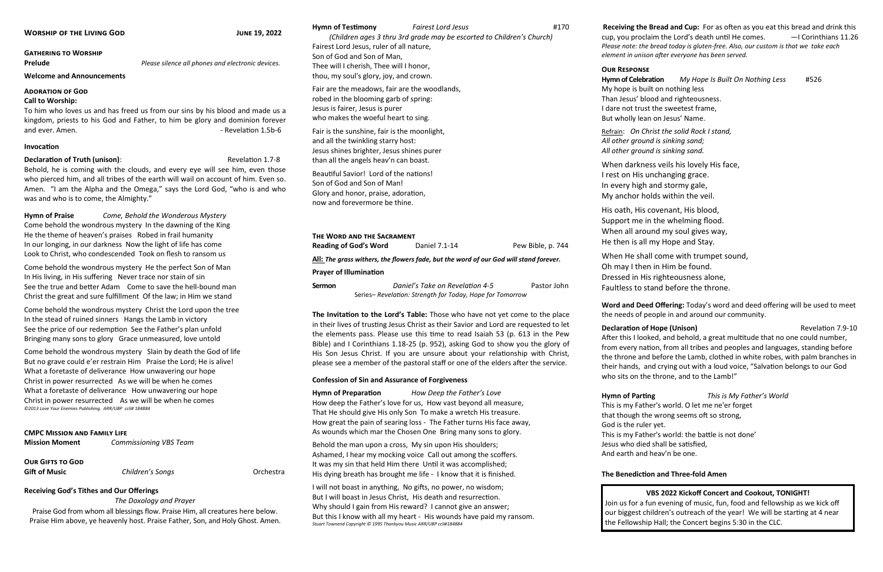### **Gathering to Worship**

**Prelude** *Please silence all phones and electronic devices.* 

To him who loves us and has freed us from our sins by his blood and made us a kingdom, priests to his God and Father, to him be glory and dominion forever and ever. Amen. **Amen.** And the control of the control of the control of the Revelation 1.5b-6

**Welcome and Announcements** 

## **Adoration of God**

## **Call to Worship:**

## **Invocation**

## **Declaration of Truth (unison):** The contraction 1.7-8

Behold, he is coming with the clouds, and every eye will see him, even those who pierced him, and all tribes of the earth will wail on account of him. Even so. Amen. "I am the Alpha and the Omega," says the Lord God, "who is and who was and who is to come, the Almighty."

**Hymn of Praise** *Come, Behold the Wonderous Mystery* Come behold the wondrous mystery In the dawning of the King He the theme of heaven's praises Robed in frail humanity In our longing, in our darkness Now the light of life has come Look to Christ, who condescended Took on flesh to ransom us

**Our Gifts to God Gift of Music Children's Songs Choir & Orchestra** 

Come behold the wondrous mystery He the perfect Son of Man In His living, in His suffering Never trace nor stain of sin See the true and better Adam Come to save the hell-bound man Christ the great and sure fulfillment Of the law; in Him we stand

Come behold the wondrous mystery Christ the Lord upon the tree In the stead of ruined sinners Hangs the Lamb in victory See the price of our redemption See the Father's plan unfold Bringing many sons to glory Grace unmeasured, love untold

Come behold the wondrous mystery Slain by death the God of life But no grave could e'er restrain Him Praise the Lord; He is alive! What a foretaste of deliverance How unwavering our hope Christ in power resurrected As we will be when he comes What a foretaste of deliverance How unwavering our hope Christ in power resurrected As we will be when he comes *©2013 Love Your Enemies Publishing. ARR/UBP ccli# 184884*

### **CMPC Mission and Family Life**

| <b>Mission Moment</b> | <b>Commissioning VBS Team</b> |
|-----------------------|-------------------------------|
|                       |                               |

## **Receiving God's Tithes and Our Offerings**

### *The Doxology and Prayer*

Praise God from whom all blessings flow. Praise Him, all creatures here below. Praise Him above, ye heavenly host. Praise Father, Son, and Holy Ghost. Amen.

# **Hymn of Testimony** *Fairest Lord Jesus* #170 *(Children ages 3 thru 3rd grade may be escorted to Children's Church)* Fairest Lord Jesus, ruler of all nature, Son of God and Son of Man, Thee will I cherish, Thee will I honor, thou, my soul's glory, joy, and crown.

Fair are the meadows, fair are the woodlands, robed in the blooming garb of spring: Jesus is fairer, Jesus is purer who makes the woeful heart to sing.

Fair is the sunshine, fair is the moonlight, and all the twinkling starry host: Jesus shines brighter, Jesus shines purer than all the angels heav'n can boast.

Beautiful Savior! Lord of the nations! Son of God and Son of Man! Glory and honor, praise, adoration, now and forevermore be thine.

## **The Word and the Sacrament**

**Reading of God's Word** Daniel 7.1-14 **Pew Bible, p. 744** 

**All:** *The grass withers, the flowers fade, but the word of our God will stand forever.*

## **Prayer of Illumination**

**Sermon** *Daniel's Take on Revelation 4-5* Pastor John Series– *Revelation: Strength for Today, Hope for Tomorrow*

**The Invitation to the Lord's Table:** Those who have not yet come to the place in their lives of trusting Jesus Christ as their Savior and Lord are requested to let the elements pass. Please use this time to read Isaiah 53 (p. 613 in the Pew Bible) and I Corinthians 1.18-25 (p. 952), asking God to show you the glory of His Son Jesus Christ. If you are unsure about your relationship with Christ, please see a member of the pastoral staff or one of the elders after the service.

## **Confession of Sin and Assurance of Forgiveness**

**Hymn of Preparation** *How Deep the Father's Love* How deep the Father's love for us, How vast beyond all measure, That He should give His only Son To make a wretch His treasure. How great the pain of searing loss - The Father turns His face away, As wounds which mar the Chosen One Bring many sons to glory.

Behold the man upon a cross, My sin upon His shoulders; Ashamed, I hear my mocking voice Call out among the scoffers. It was my sin that held Him there Until it was accomplished; His dying breath has brought me life - I know that it is finished.

I will not boast in anything, No gifts, no power, no wisdom; But I will boast in Jesus Christ, His death and resurrection. Why should I gain from His reward? I cannot give an answer; But this I know with all my heart - His wounds have paid my ransom. *Stuart Townend Copyright © 1995 Thankyou Music ARR/UBP ccli#184884* 

**Receiving the Bread and Cup:** For as often as you eat this bread and drink this cup, you proclaim the Lord's death until He comes. *—*I Corinthians 11.26 *Please note: the bread today is gluten-free. Also, our custom is that we take each element in unison after everyone has been served.*

# **Our Response**

**Hymn of Celebration** *My Hope Is Built On Nothing Less* #526 My hope is built on nothing less Than Jesus' blood and righteousness. I dare not trust the sweetest frame, But wholly lean on Jesus' Name.

Refrain: *On Christ the solid Rock I stand, All other ground is sinking sand; All other ground is sinking sand.*

When darkness veils his lovely His face, I rest on His unchanging grace. In every high and stormy gale, My anchor holds within the veil.

His oath, His covenant, His blood, Support me in the whelming flood. When all around my soul gives way, He then is all my Hope and Stay.

When He shall come with trumpet sound, Oh may I then in Him be found. Dressed in His righteousness alone, Faultless to stand before the throne.

**Word and Deed Offering:** Today's word and deed offering will be used to meet the needs of people in and around our community.

# **Declaration of Hope (Unison)** *Declaration 7.9-10*

After this I looked, and behold, a great multitude that no one could number, from every nation, from all tribes and peoples and languages, standing before the throne and before the Lamb, clothed in white robes, with palm branches in their hands, and crying out with a loud voice, "Salvation belongs to our God who sits on the throne, and to the Lamb!"

**Hymn of Parting** *This is My Father's World*

This is my Father's world. O let me ne'er forget

- that though the wrong seems oft so strong,
	-
- This is my Father's world: the battle is not done'
- Jesus who died shall be satisfied,
	-

God is the ruler yet. And earth and heav'n be one.

# **The Benediction and Three-fold Amen**

# **VBS 2022 Kickoff Concert and Cookout, TONIGHT!**

Join us for a fun evening of music, fun, food and fellowship as we kick off our biggest children's outreach of the year! We will be starting at 4 near the Fellowship Hall; the Concert begins 5:30 in the CLC.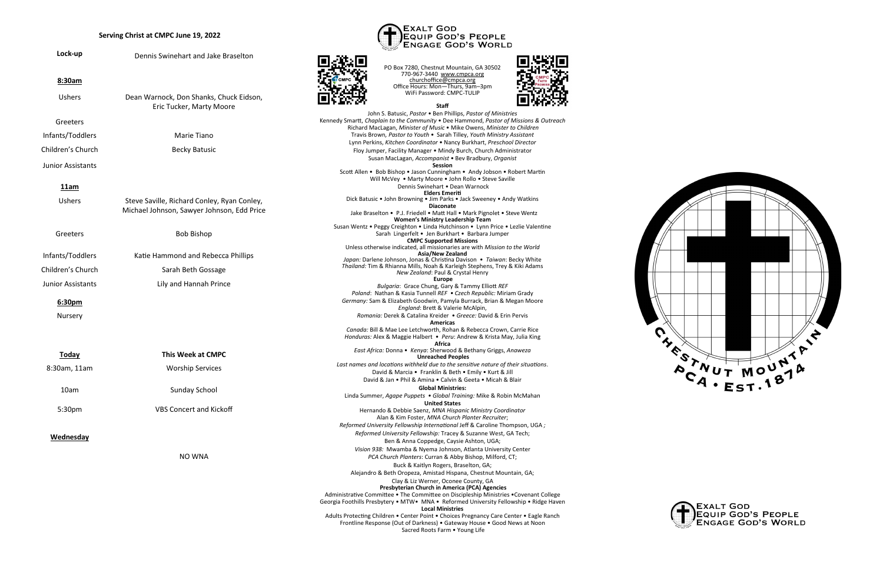## **Serving Christ at CMPC June 19, 2022**

|                                                                                                            | Serving Christ at CMPC June 19, 2022                                                                                                                                                                                              | <b>EXALT GOD</b><br>EQUIP GOD'S PEOPLE<br><b>ENGAGE GOD'S WORLD</b>                                                                                                                                               |
|------------------------------------------------------------------------------------------------------------|-----------------------------------------------------------------------------------------------------------------------------------------------------------------------------------------------------------------------------------|-------------------------------------------------------------------------------------------------------------------------------------------------------------------------------------------------------------------|
| Lock-up                                                                                                    | Dennis Swinehart and Jake Braselton                                                                                                                                                                                               | PO Box 7280, Chestnut Mountain, GA 30502                                                                                                                                                                          |
| 8:30am                                                                                                     |                                                                                                                                                                                                                                   | 770-967-3440 www.cmpca.org<br>churchoffice@cmpca.org<br>Office Hours: Mon-Thurs, 9am-3pm                                                                                                                          |
| <b>Ushers</b>                                                                                              | Dean Warnock, Don Shanks, Chuck Eidson,<br>Eric Tucker, Marty Moore                                                                                                                                                               | WiFi Password: CMPC-TULIP<br><b>Staff</b>                                                                                                                                                                         |
| Greeters                                                                                                   |                                                                                                                                                                                                                                   | John S. Batusic, Pastor . Ben Phillips, Pastor of Ministries<br>Kennedy Smartt, Chaplain to the Community . Dee Hammond, Pastor of Missions & Outreach                                                            |
| Infants/Toddlers                                                                                           | Marie Tiano                                                                                                                                                                                                                       | Richard MacLagan, Minister of Music . Mike Owens, Minister to Children<br>Travis Brown, Pastor to Youth . Sarah Tilley, Youth Ministry Assistant                                                                  |
|                                                                                                            |                                                                                                                                                                                                                                   | Lynn Perkins, Kitchen Coordinator • Nancy Burkhart, Preschool Director                                                                                                                                            |
| Children's Church                                                                                          | <b>Becky Batusic</b>                                                                                                                                                                                                              | Floy Jumper, Facility Manager . Mindy Burch, Church Administrator<br>Susan MacLagan, Accompanist . Bev Bradbury, Organist                                                                                         |
| Junior Assistants                                                                                          |                                                                                                                                                                                                                                   | <b>Session</b><br>Scott Allen . Bob Bishop . Jason Cunningham . Andy Jobson . Robert Martin                                                                                                                       |
| 11am                                                                                                       |                                                                                                                                                                                                                                   | Will McVey . Marty Moore . John Rollo . Steve Saville<br>Dennis Swinehart • Dean Warnock<br>Elders Emeriti                                                                                                        |
| <b>Ushers</b><br>Steve Saville, Richard Conley, Ryan Conley,<br>Michael Johnson, Sawyer Johnson, Edd Price | Dick Batusic . John Browning . Jim Parks . Jack Sweeney . Andy Watkins<br><b>Diaconate</b>                                                                                                                                        |                                                                                                                                                                                                                   |
|                                                                                                            | Jake Braselton • P.J. Friedell • Matt Hall • Mark Pignolet • Steve Wentz                                                                                                                                                          |                                                                                                                                                                                                                   |
| Greeters                                                                                                   | <b>Bob Bishop</b>                                                                                                                                                                                                                 | <b>Women's Ministry Leadership Team</b><br>Susan Wentz • Peggy Creighton • Linda Hutchinson • Lynn Price • Lezlie Valentine<br>Sarah Lingerfelt • Jen Burkhart • Barbara Jumper<br><b>CMPC Supported Missions</b> |
|                                                                                                            |                                                                                                                                                                                                                                   | Unless otherwise indicated, all missionaries are with Mission to the World                                                                                                                                        |
| Infants/Toddlers                                                                                           | Katie Hammond and Rebecca Phillips                                                                                                                                                                                                | Asia/New Zealand<br>Japan: Darlene Johnson, Jonas & Christina Davison . Taiwan: Becky White                                                                                                                       |
| Children's Church                                                                                          | Sarah Beth Gossage                                                                                                                                                                                                                | Thailand: Tim & Rhianna Mills, Noah & Karleigh Stephens, Trey & Kiki Adams<br>New Zealand: Paul & Crystal Henry                                                                                                   |
| <b>Junior Assistants</b>                                                                                   | Lily and Hannah Prince                                                                                                                                                                                                            | <b>Europe</b><br>Bulgaria: Grace Chung, Gary & Tammy Elliott REF                                                                                                                                                  |
| 6:30pm                                                                                                     |                                                                                                                                                                                                                                   | Poland: Nathan & Kasia Tunnell REF . Czech Republic: Miriam Grady<br>Germany: Sam & Elizabeth Goodwin, Pamyla Burrack, Brian & Megan Moore<br>England: Brett & Valerie McAlpin,                                   |
| Nursery                                                                                                    | Romania: Derek & Catalina Kreider • Greece: David & Erin Pervis                                                                                                                                                                   |                                                                                                                                                                                                                   |
|                                                                                                            |                                                                                                                                                                                                                                   | Americas<br>Canada: Bill & Mae Lee Letchworth, Rohan & Rebecca Crown, Carrie Rice<br>Honduras: Alex & Maggie Halbert . Peru: Andrew & Krista May, Julia King                                                      |
| <b>Today</b>                                                                                               | <b>This Week at CMPC</b>                                                                                                                                                                                                          | Africa<br>East Africa: Donna • Kenya: Sherwood & Bethany Griggs, Anaweza<br><b>Unreached Peoples</b>                                                                                                              |
| 8:30am, 11am                                                                                               | <b>Worship Services</b>                                                                                                                                                                                                           | Last names and locations withheld due to the sensitive nature of their situations.<br>David & Marcia . Franklin & Beth . Emily . Kurt & Jill                                                                      |
|                                                                                                            |                                                                                                                                                                                                                                   | David & Jan • Phil & Amina • Calvin & Geeta • Micah & Blair                                                                                                                                                       |
| 10am                                                                                                       | Sunday School                                                                                                                                                                                                                     | <b>Global Ministries:</b>                                                                                                                                                                                         |
|                                                                                                            |                                                                                                                                                                                                                                   | Linda Summer, Agape Puppets . Global Training: Mike & Robin McMahan<br><b>United States</b>                                                                                                                       |
| <b>VBS Concert and Kickoff</b><br>5:30pm                                                                   | Hernando & Debbie Saenz, MNA Hispanic Ministry Coordinator                                                                                                                                                                        |                                                                                                                                                                                                                   |
|                                                                                                            | Alan & Kim Foster, MNA Church Planter Recruiter;<br>Reformed University Fellowship International Jeff & Caroline Thompson, UGA;                                                                                                   |                                                                                                                                                                                                                   |
| Wednesday                                                                                                  |                                                                                                                                                                                                                                   | Reformed University Fellowship: Tracey & Suzanne West, GA Tech;                                                                                                                                                   |
|                                                                                                            | Ben & Anna Coppedge, Caysie Ashton, UGA;                                                                                                                                                                                          |                                                                                                                                                                                                                   |
| NO WNA                                                                                                     |                                                                                                                                                                                                                                   | Vision 938: Mwamba & Nyema Johnson, Atlanta University Center<br>PCA Church Planters: Curran & Abby Bishop, Milford, CT;                                                                                          |
|                                                                                                            | Buck & Kaitlyn Rogers, Braselton, GA;                                                                                                                                                                                             |                                                                                                                                                                                                                   |
|                                                                                                            |                                                                                                                                                                                                                                   | Alejandro & Beth Oropeza, Amistad Hispana, Chestnut Mountain, GA;                                                                                                                                                 |
|                                                                                                            |                                                                                                                                                                                                                                   | Clay & Liz Werner, Oconee County, GA                                                                                                                                                                              |
|                                                                                                            | Presbyterian Church in America (PCA) Agencies<br>Administrative Committee . The Committee on Discipleship Ministries . Covenant College<br>Georgia Foothills Presbytery . MTW. MNA . Reformed University Fellowship . Ridge Haven |                                                                                                                                                                                                                   |
|                                                                                                            | <b>Local Ministries</b><br>Adults Protecting Children . Center Point . Choices Pregnancy Care Center . Eagle Ranch<br>Frontline Response (Out of Darkness) • Gateway House • Good News at Noon<br>Sacred Roots Farm . Young Life  |                                                                                                                                                                                                                   |
|                                                                                                            |                                                                                                                                                                                                                                   |                                                                                                                                                                                                                   |

回旋神